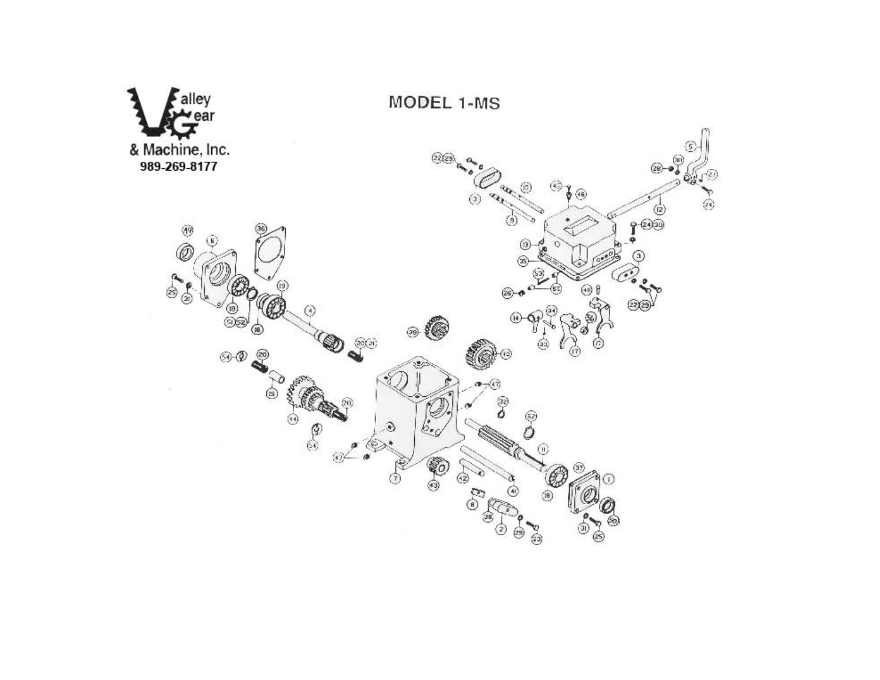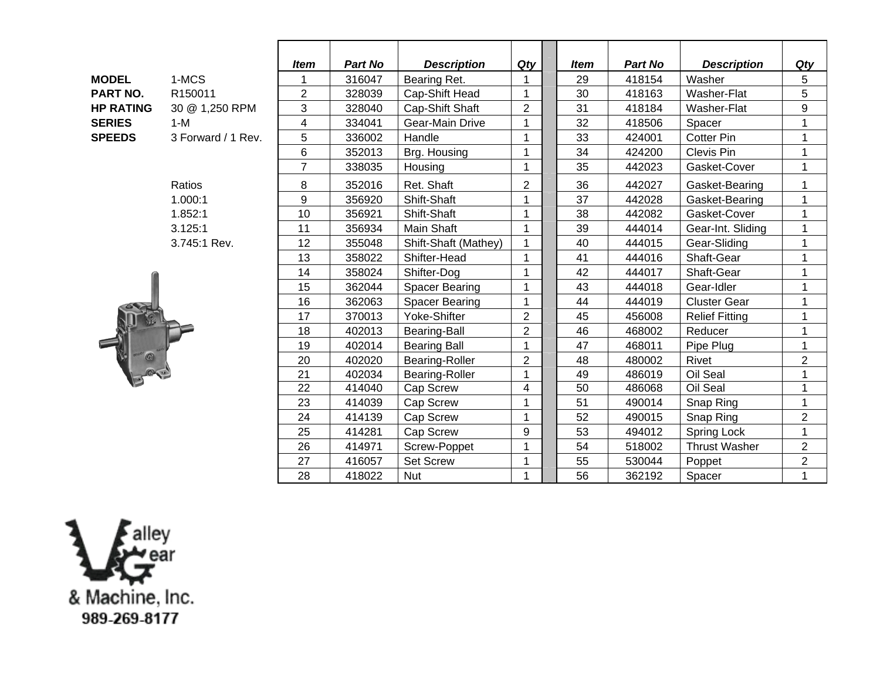|                  |                     | <b>Item</b>    | <b>Part No</b> | <b>Description</b>    | Qty            |  | <b>Item</b> | <b>Part No</b> | <b>Description</b>             | Qty                               |
|------------------|---------------------|----------------|----------------|-----------------------|----------------|--|-------------|----------------|--------------------------------|-----------------------------------|
| <b>MODEL</b>     | 1-MCS               | 1              | 316047         | Bearing Ret.          | 1              |  | 29          | 418154         | Washer                         | 5                                 |
| <b>PART NO.</b>  | R150011             | $\overline{2}$ | 328039         | Cap-Shift Head        | 1              |  | 30          | 418163         | Washer-Flat                    | 5                                 |
| <b>HP RATING</b> | 3<br>30 @ 1,250 RPM |                | 328040         | Cap-Shift Shaft       | $\overline{c}$ |  | 31          | 418184         | Washer-Flat                    | 9                                 |
| <b>SERIES</b>    | $1-M$               | 4              | 334041         | Gear-Main Drive       | $\mathbf{1}$   |  | 32          | 418506         | Spacer                         | 1                                 |
| <b>SPEEDS</b>    | 3 Forward / 1 Rev.  | 5              | 336002         | Handle                | 1              |  | 33          | 424001         | <b>Cotter Pin</b>              | $\mathbf{1}$                      |
|                  |                     | 6              | 352013         | Brg. Housing          | 1              |  | 34          | 424200         | Clevis Pin                     | $\mathbf{1}$                      |
|                  |                     | $\overline{7}$ | 338035         | Housing               | $\mathbf{1}$   |  | 35          | 442023         | Gasket-Cover                   | $\mathbf{1}$                      |
|                  | Ratios              | 8              | 352016         | Ret. Shaft            | $\overline{2}$ |  | 36          | 442027         | Gasket-Bearing                 | 1                                 |
|                  | 1.000:1             | 9              | 356920         | Shift-Shaft           | $\mathbf{1}$   |  | 37          | 442028         | Gasket-Bearing<br>Gasket-Cover | $\mathbf{1}$<br>1<br>$\mathbf{1}$ |
|                  | 1.852:1             | 10             | 356921         | Shift-Shaft           | 1              |  | 38          | 442082         |                                |                                   |
|                  | 3.125:1             | 11             | 356934         | Main Shaft            | $\mathbf{1}$   |  | 39          | 444014         | Gear-Int. Sliding              |                                   |
|                  | 3.745:1 Rev.        | 12             | 355048         | Shift-Shaft (Mathey)  | 1              |  | 40          | 444015         | Gear-Sliding                   | $\mathbf{1}$                      |
|                  |                     | 13             | 358022         | Shifter-Head          | $\mathbf{1}$   |  | 41          | 444016         | Shaft-Gear                     | $\mathbf 1$                       |
|                  |                     | 14             | 358024         | Shifter-Dog           | $\mathbf{1}$   |  | 42          | 444017         | Shaft-Gear                     | $\mathbf{1}$                      |
|                  |                     | 15             | 362044         | Spacer Bearing        | $\mathbf 1$    |  | 43          | 444018         | Gear-Idler                     | $\mathbf{1}$                      |
|                  |                     | 16             | 362063         | <b>Spacer Bearing</b> | 1              |  | 44          | 444019         | <b>Cluster Gear</b>            | $\mathbf{1}$                      |
|                  |                     | 17             | 370013         | Yoke-Shifter          | $\overline{c}$ |  | 45          | 456008         | <b>Relief Fitting</b>          | 1                                 |
|                  |                     | 18             | 402013         | <b>Bearing-Ball</b>   | $\overline{2}$ |  | 46          | 468002         | Reducer                        | $\mathbf{1}$                      |
|                  |                     | 19             | 402014         | <b>Bearing Ball</b>   | $\mathbf 1$    |  | 47          | 468011         | Pipe Plug                      | $\mathbf{1}$                      |
|                  |                     | 20             | 402020         | Bearing-Roller        | $\overline{2}$ |  | 48          | 480002         | Rivet                          | $\overline{c}$                    |
|                  |                     | 21             | 402034         | Bearing-Roller        | $\mathbf{1}$   |  | 49          | 486019         | Oil Seal                       | $\overline{1}$                    |
|                  |                     | 22             | 414040         | Cap Screw             | 4              |  | 50          | 486068         | Oil Seal                       | $\mathbf 1$                       |
|                  |                     | 23             | 414039         | Cap Screw             | 1              |  | 51          | 490014         | Snap Ring                      | $\mathbf{1}$                      |
|                  |                     | 24             | 414139         | Cap Screw             | $\mathbf 1$    |  | 52          | 490015         | Snap Ring                      | $\overline{2}$                    |
|                  |                     | 25             | 414281         | Cap Screw             | 9              |  | 53          | 494012         | Spring Lock                    | $\mathbf{1}$                      |
|                  |                     | 26             | 414971         | Screw-Poppet          | 1              |  | 54          | 518002         | <b>Thrust Washer</b>           | $\overline{2}$                    |
|                  |                     | 27             | 416057         | <b>Set Screw</b>      | 1              |  | 55          | 530044         | Poppet                         | $\overline{2}$                    |
|                  |                     | 28             | 418022         | <b>Nut</b>            | 1              |  | 56          | 362192         | Spacer                         | $\mathbf{1}$                      |